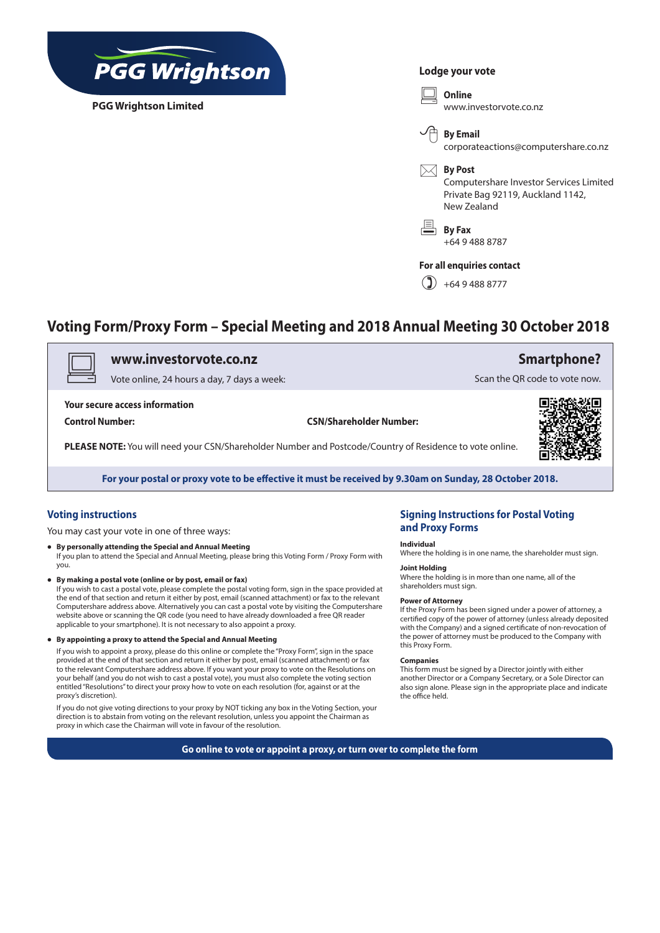

**PGG Wrightson Limited**

#### **Lodge your vote**

v **Online** www.investorvote.co.nz



corporateactions@computershare.co.nz

 $\boxtimes$  **By Post** 

Computershare Investor Services Limited Private Bag 92119, Auckland 1142, New Zealand

6 **By Fax** +64 9 488 8787

#### **For all enquiries contact**

 $\binom{9}{4}$  +64 9 488 8777

## **Voting Form/Proxy Form – Special Meeting and 2018 Annual Meeting 30 October 2018**

## v **www.investorvote.co.nz**

Vote online, 24 hours a day, 7 days a week:

**Your secure access information**

**Control Number: CSN/Shareholder Number:**

**PLEASE NOTE:** You will need your CSN/Shareholder Number and Postcode/Country of Residence to vote online.



**Smartphone?**

Scan the QR code to vote now.

**For your postal or proxy vote to be effective it must be received by 9.30am on Sunday, 28 October 2018.**

## **Voting instructions**

You may cast your vote in one of three ways:

- **• By personally attending the Special and Annual Meeting** If you plan to attend the Special and Annual Meeting, please bring this Voting Form / Proxy Form with you.
- **• By making a postal vote (online or by post, email or fax)**

If you wish to cast a postal vote, please complete the postal voting form, sign in the space provided at the end of that section and return it either by post, email (scanned attachment) or fax to the relevant Computershare address above. Alternatively you can cast a postal vote by visiting the Computershare website above or scanning the QR code (you need to have already downloaded a free QR reader applicable to your smartphone). It is not necessary to also appoint a proxy.

**• By appointing a proxy to attend the Special and Annual Meeting**

If you wish to appoint a proxy, please do this online or complete the "Proxy Form", sign in the space provided at the end of that section and return it either by post, email (scanned attachment) or fax to the relevant Computershare address above. If you want your proxy to vote on the Resolutions on your behalf (and you do not wish to cast a postal vote), you must also complete the voting section entitled "Resolutions" to direct your proxy how to vote on each resolution (for, against or at the proxy's discretion).

If you do not give voting directions to your proxy by NOT ticking any box in the Voting Section, your direction is to abstain from voting on the relevant resolution, unless you appoint the Chairman as proxy in which case the Chairman will vote in favour of the resolution.

### **Signing Instructions for Postal Voting and Proxy Forms**

#### **Individual**

Where the holding is in one name, the shareholder must sign.

### **Joint Holding**

Where the holding is in more than one name, all of the shareholders must sign.

#### **Power of Attorney**

If the Proxy Form has been signed under a power of attorney, a certified copy of the power of attorney (unless already deposited with the Company) and a signed certificate of non-revocation of the power of attorney must be produced to the Company with this Proxy Form.

#### **Companies**

This form must be signed by a Director jointly with either another Director or a Company Secretary, or a Sole Director can also sign alone. Please sign in the appropriate place and indicate the office held.

**Go online to vote or appoint a proxy, or turn over to complete the form**